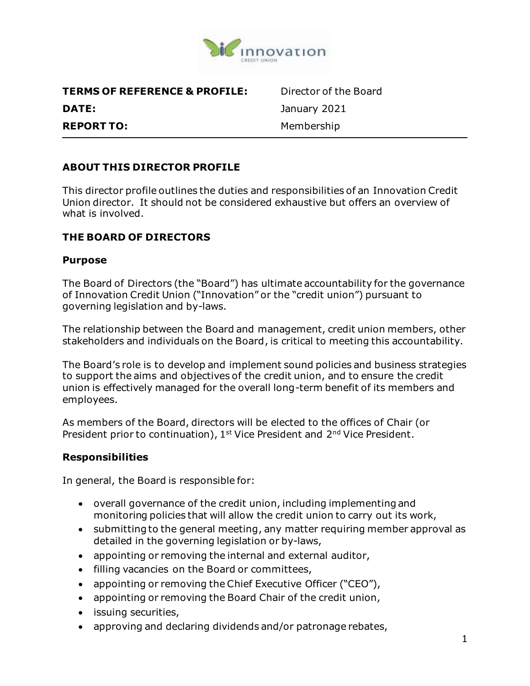

| <b>TERMS OF REFERENCE &amp; PROFILE:</b> |  |
|------------------------------------------|--|
| DATE:                                    |  |
| <b>REPORT TO:</b>                        |  |

Director of the Board **DATE:** January 2021 **REPORT TO:** Membership

## **ABOUT THIS DIRECTOR PROFILE**

This director profile outlines the duties and responsibilities of an Innovation Credit Union director. It should not be considered exhaustive but offers an overview of what is involved.

#### **THE BOARD OF DIRECTORS**

#### **Purpose**

The Board of Directors (the "Board") has ultimate accountability for the governance of Innovation Credit Union ("Innovation" or the "credit union") pursuant to governing legislation and by-laws.

The relationship between the Board and management, credit union members, other stakeholders and individuals on the Board, is critical to meeting this accountability.

The Board's role is to develop and implement sound policies and business strategies to support the aims and objectives of the credit union, and to ensure the credit union is effectively managed for the overall long-term benefit of its members and employees.

As members of the Board, directors will be elected to the offices of Chair (or President prior to continuation), 1<sup>st</sup> Vice President and 2<sup>nd</sup> Vice President.

#### **Responsibilities**

In general, the Board is responsible for:

- overall governance of the credit union, including implementing and monitoring policies that will allow the credit union to carry out its work,
- submitting to the general meeting, any matter requiring member approval as detailed in the governing legislation or by-laws,
- appointing or removing the internal and external auditor,
- filling vacancies on the Board or committees,
- appointing or removing the Chief Executive Officer ("CEO"),
- appointing or removing the Board Chair of the credit union,
- issuing securities,
- approving and declaring dividends and/or patronage rebates,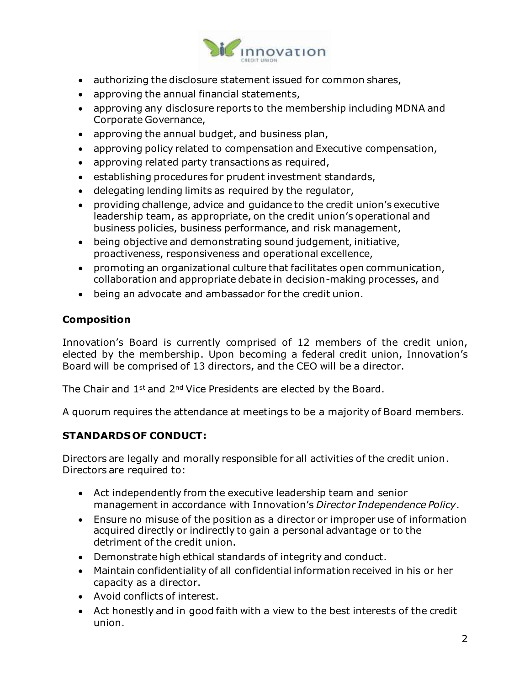

- authorizing the disclosure statement issued for common shares,
- approving the annual financial statements,
- approving any disclosure reports to the membership including MDNA and Corporate Governance,
- approving the annual budget, and business plan,
- approving policy related to compensation and Executive compensation,
- approving related party transactions as required,
- establishing procedures for prudent investment standards,
- delegating lending limits as required by the regulator,
- providing challenge, advice and guidance to the credit union's executive leadership team, as appropriate, on the credit union's operational and business policies, business performance, and risk management,
- being objective and demonstrating sound judgement, initiative, proactiveness, responsiveness and operational excellence,
- promoting an organizational culture that facilitates open communication, collaboration and appropriate debate in decision-making processes, and
- being an advocate and ambassador for the credit union.

## **Composition**

Innovation's Board is currently comprised of 12 members of the credit union, elected by the membership. Upon becoming a federal credit union, Innovation's Board will be comprised of 13 directors, and the CEO will be a director.

The Chair and 1<sup>st</sup> and 2<sup>nd</sup> Vice Presidents are elected by the Board.

A quorum requires the attendance at meetings to be a majority of Board members.

## **STANDARDS OF CONDUCT:**

Directors are legally and morally responsible for all activities of the credit union. Directors are required to:

- Act independently from the executive leadership team and senior management in accordance with Innovation's *Director Independence Policy*.
- Ensure no misuse of the position as a director or improper use of information acquired directly or indirectly to gain a personal advantage or to the detriment of the credit union.
- Demonstrate high ethical standards of integrity and conduct.
- Maintain confidentiality of all confidential information received in his or her capacity as a director.
- Avoid conflicts of interest.
- Act honestly and in good faith with a view to the best interests of the credit union.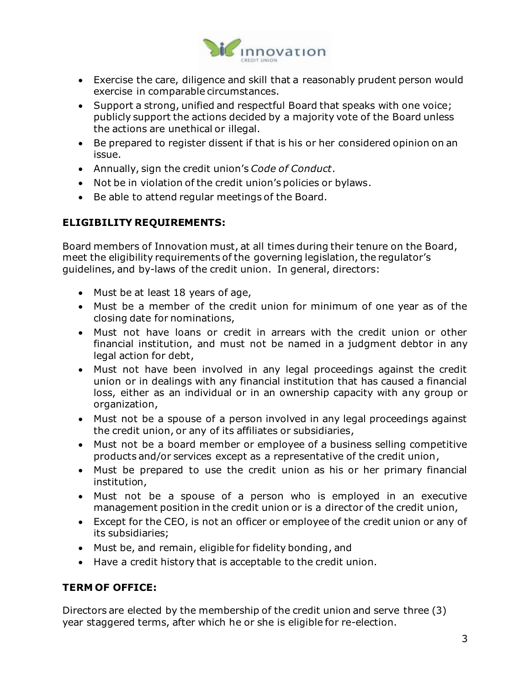

- Exercise the care, diligence and skill that a reasonably prudent person would exercise in comparable circumstances.
- Support a strong, unified and respectful Board that speaks with one voice; publicly support the actions decided by a majority vote of the Board unless the actions are unethical or illegal.
- Be prepared to register dissent if that is his or her considered opinion on an issue.
- Annually, sign the credit union's *Code of Conduct*.
- Not be in violation of the credit union's policies or bylaws.
- Be able to attend regular meetings of the Board.

# **ELIGIBILITY REQUIREMENTS:**

Board members of Innovation must, at all times during their tenure on the Board, meet the eligibility requirements of the governing legislation, the regulator's guidelines, and by-laws of the credit union. In general, directors:

- Must be at least 18 years of age,
- Must be a member of the credit union for minimum of one year as of the closing date for nominations,
- Must not have loans or credit in arrears with the credit union or other financial institution, and must not be named in a judgment debtor in any legal action for debt,
- Must not have been involved in any legal proceedings against the credit union or in dealings with any financial institution that has caused a financial loss, either as an individual or in an ownership capacity with any group or organization,
- Must not be a spouse of a person involved in any legal proceedings against the credit union, or any of its affiliates or subsidiaries,
- Must not be a board member or employee of a business selling competitive products and/or services except as a representative of the credit union,
- Must be prepared to use the credit union as his or her primary financial institution,
- Must not be a spouse of a person who is employed in an executive management position in the credit union or is a director of the credit union,
- Except for the CEO, is not an officer or employee of the credit union or any of its subsidiaries;
- Must be, and remain, eligible for fidelity bonding, and
- Have a credit history that is acceptable to the credit union.

# **TERM OF OFFICE:**

Directors are elected by the membership of the credit union and serve three (3) year staggered terms, after which he or she is eligible for re-election.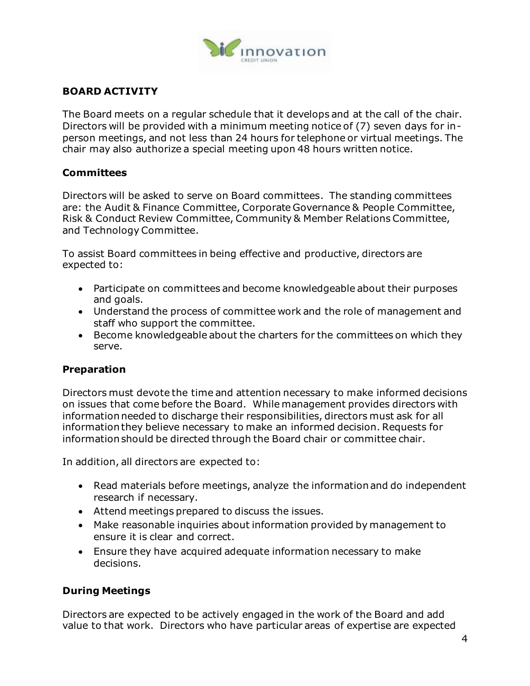

## **BOARD ACTIVITY**

The Board meets on a regular schedule that it develops and at the call of the chair. Directors will be provided with a minimum meeting notice of (7) seven days for inperson meetings, and not less than 24 hours for telephone or virtual meetings. The chair may also authorize a special meeting upon 48 hours written notice.

#### **Committees**

Directors will be asked to serve on Board committees. The standing committees are: the Audit & Finance Committee, Corporate Governance & People Committee, Risk & Conduct Review Committee, Community & Member Relations Committee, and Technology Committee.

To assist Board committees in being effective and productive, directors are expected to:

- Participate on committees and become knowledgeable about their purposes and goals.
- Understand the process of committee work and the role of management and staff who support the committee.
- Become knowledgeable about the charters for the committees on which they serve.

## **Preparation**

Directors must devote the time and attention necessary to make informed decisions on issues that come before the Board. While management provides directors with information needed to discharge their responsibilities, directors must ask for all information they believe necessary to make an informed decision. Requests for information should be directed through the Board chair or committee chair.

In addition, all directors are expected to:

- Read materials before meetings, analyze the information and do independent research if necessary.
- Attend meetings prepared to discuss the issues.
- Make reasonable inquiries about information provided by management to ensure it is clear and correct.
- Ensure they have acquired adequate information necessary to make decisions.

## **During Meetings**

Directors are expected to be actively engaged in the work of the Board and add value to that work. Directors who have particular areas of expertise are expected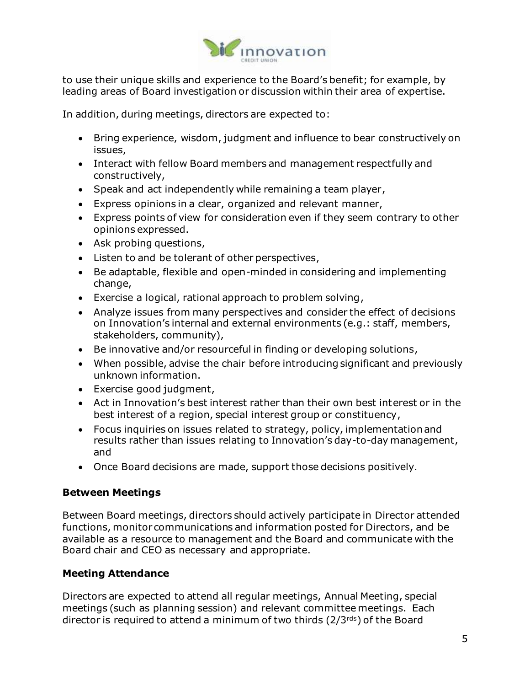

to use their unique skills and experience to the Board's benefit; for example, by leading areas of Board investigation or discussion within their area of expertise.

In addition, during meetings, directors are expected to:

- Bring experience, wisdom, judgment and influence to bear constructively on issues,
- Interact with fellow Board members and management respectfully and constructively,
- Speak and act independently while remaining a team player,
- Express opinions in a clear, organized and relevant manner,
- Express points of view for consideration even if they seem contrary to other opinions expressed.
- Ask probing questions,
- Listen to and be tolerant of other perspectives,
- Be adaptable, flexible and open-minded in considering and implementing change,
- Exercise a logical, rational approach to problem solving,
- Analyze issues from many perspectives and consider the effect of decisions on Innovation's internal and external environments (e.g.: staff, members, stakeholders, community),
- Be innovative and/or resourceful in finding or developing solutions,
- When possible, advise the chair before introducing significant and previously unknown information.
- Exercise good judgment,
- Act in Innovation's best interest rather than their own best interest or in the best interest of a region, special interest group or constituency,
- Focus inquiries on issues related to strategy, policy, implementation and results rather than issues relating to Innovation's day-to-day management, and
- Once Board decisions are made, support those decisions positively.

#### **Between Meetings**

Between Board meetings, directors should actively participate in Director attended functions, monitor communications and information posted for Directors, and be available as a resource to management and the Board and communicate with the Board chair and CEO as necessary and appropriate.

## **Meeting Attendance**

Directors are expected to attend all regular meetings, Annual Meeting, special meetings (such as planning session) and relevant committee meetings. Each director is required to attend a minimum of two thirds (2/3rds) of the Board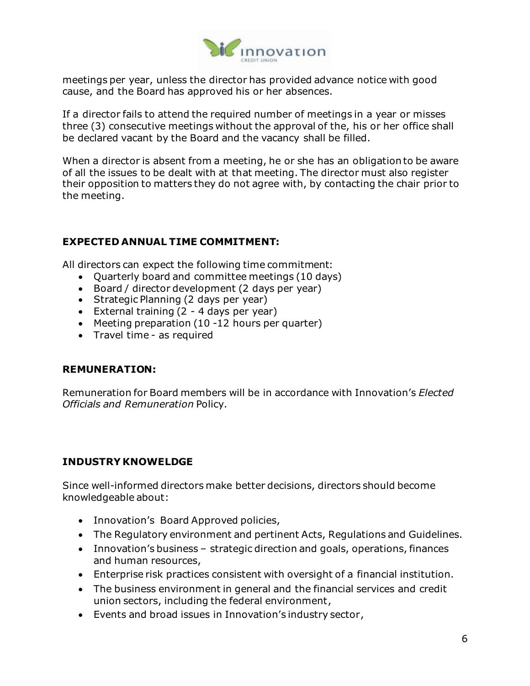

meetings per year, unless the director has provided advance notice with good cause, and the Board has approved his or her absences.

If a director fails to attend the required number of meetings in a year or misses three (3) consecutive meetings without the approval of the, his or her office shall be declared vacant by the Board and the vacancy shall be filled.

When a director is absent from a meeting, he or she has an obligation to be aware of all the issues to be dealt with at that meeting. The director must also register their opposition to matters they do not agree with, by contacting the chair prior to the meeting.

#### **EXPECTED ANNUAL TIME COMMITMENT:**

All directors can expect the following time commitment:

- Quarterly board and committee meetings (10 days)
- Board / director development (2 days per year)
- Strategic Planning (2 days per year)
- External training  $(2 4$  days per year)
- Meeting preparation (10 -12 hours per quarter)
- Travel time as required

#### **REMUNERATION:**

Remuneration for Board members will be in accordance with Innovation's *Elected Officials and Remuneration* Policy.

## **INDUSTRY KNOWELDGE**

Since well-informed directors make better decisions, directors should become knowledgeable about:

- Innovation's Board Approved policies,
- The Regulatory environment and pertinent Acts, Regulations and Guidelines.
- Innovation's business strategic direction and goals, operations, finances and human resources,
- Enterprise risk practices consistent with oversight of a financial institution.
- The business environment in general and the financial services and credit union sectors, including the federal environment,
- Events and broad issues in Innovation's industry sector,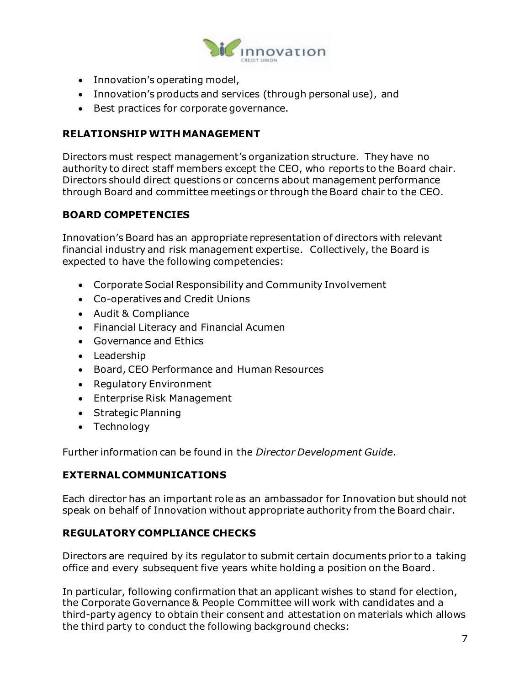

- Innovation's operating model,
- Innovation's products and services (through personal use), and
- Best practices for corporate governance.

## **RELATIONSHIP WITH MANAGEMENT**

Directors must respect management's organization structure. They have no authority to direct staff members except the CEO, who reports to the Board chair. Directors should direct questions or concerns about management performance through Board and committee meetings or through the Board chair to the CEO.

## **BOARD COMPETENCIES**

Innovation's Board has an appropriate representation of directors with relevant financial industry and risk management expertise. Collectively, the Board is expected to have the following competencies:

- Corporate Social Responsibility and Community Involvement
- Co-operatives and Credit Unions
- Audit & Compliance
- Financial Literacy and Financial Acumen
- Governance and Ethics
- Leadership
- Board, CEO Performance and Human Resources
- Regulatory Environment
- Enterprise Risk Management
- Strategic Planning
- Technology

Further information can be found in the *Director Development Guide*.

#### **EXTERNAL COMMUNICATIONS**

Each director has an important role as an ambassador for Innovation but should not speak on behalf of Innovation without appropriate authority from the Board chair.

#### **REGULATORY COMPLIANCE CHECKS**

Directors are required by its regulator to submit certain documents prior to a taking office and every subsequent five years white holding a position on the Board.

In particular, following confirmation that an applicant wishes to stand for election, the Corporate Governance & People Committee will work with candidates and a third-party agency to obtain their consent and attestation on materials which allows the third party to conduct the following background checks: